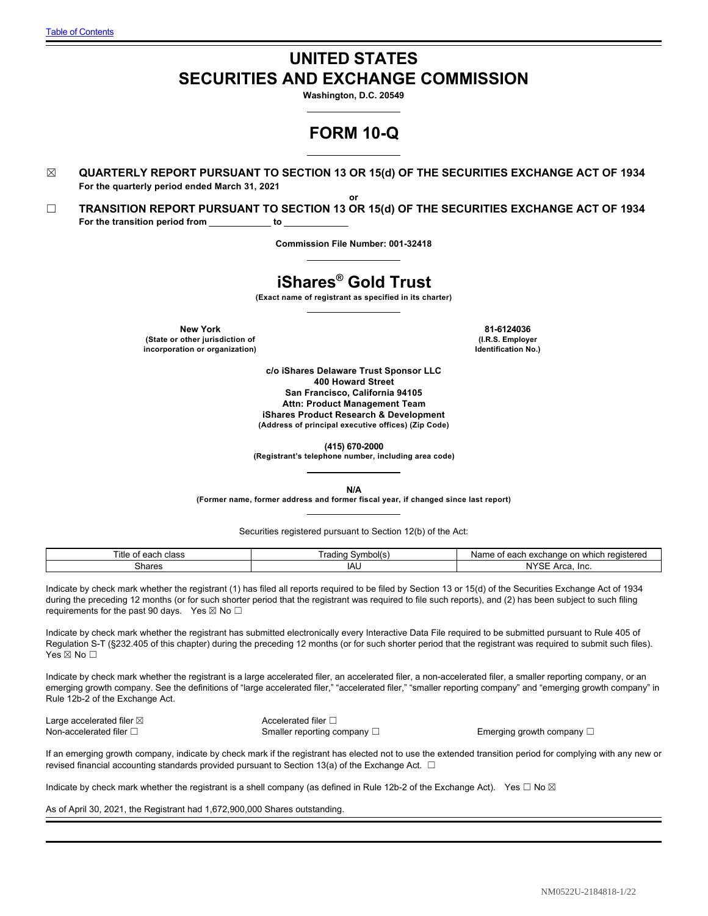# **UNITED STATES SECURITIES AND EXCHANGE COMMISSION**

**Washington, D.C. 20549**

# **FORM 10-Q**

☒ **QUARTERLY REPORT PURSUANT TO SECTION 13 OR 15(d) OF THE SECURITIES EXCHANGE ACT OF 1934 For the quarterly period ended March 31, 2021**

**or** ☐ **TRANSITION REPORT PURSUANT TO SECTION 13 OR 15(d) OF THE SECURITIES EXCHANGE ACT OF 1934** For the transition period from \_\_\_\_\_\_\_\_\_\_\_ to \_

**Commission File Number: 001-32418**

# **iShares® Gold Trust**

**(Exact name of registrant as specified in its charter)**

**New York 81-6124036 (State or other jurisdiction of incorporation or organization)**

**(I.R.S. Employer Identification No.)**

**c/o iShares Delaware Trust Sponsor LLC 400 Howard Street San Francisco, California 94105 Attn: Product Management Team iShares Product Research & Development (Address of principal executive offices) (Zip Code)**

**(415) 670-2000**

**(Registrant's telephone number, including area code)**

**N/A**

**(Former name, former address and former fiscal year, if changed since last report)**

Securities registered pursuant to Section 12(b) of the Act:

| ïtle<br>class<br>$\sim$<br>ΩT<br>сачн | radınq<br>svmbo | registere<br>hange<br>which<br>$\Delta V$<br>name<br>$\sim$<br><b>EA</b><br>ו, הה<br>.<br>. . |
|---------------------------------------|-----------------|-----------------------------------------------------------------------------------------------|
| Shares                                | IAL             | $\mathbf{N}$<br>Inc.<br>$\sim$<br>ח כהי<br>l va                                               |

Indicate by check mark whether the registrant (1) has filed all reports required to be filed by Section 13 or 15(d) of the Securities Exchange Act of 1934 during the preceding 12 months (or for such shorter period that the registrant was required to file such reports), and (2) has been subject to such filing requirements for the past 90 days. Yes  $\boxtimes$  No  $\Box$ 

Indicate by check mark whether the registrant has submitted electronically every Interactive Data File required to be submitted pursuant to Rule 405 of Regulation S-T (§232.405 of this chapter) during the preceding 12 months (or for such shorter period that the registrant was required to submit such files). Yes ⊠ No □

Indicate by check mark whether the registrant is a large accelerated filer, an accelerated filer, a non-accelerated filer, a smaller reporting company, or an emerging growth company. See the definitions of "large accelerated filer," "accelerated filer," "smaller reporting company" and "emerging growth company" in Rule 12b-2 of the Exchange Act.

Large accelerated filer ⊠ accelerated filer □

Non-accelerated filer □ state of the Smaller reporting company □ state of the Emerging growth company □

If an emerging growth company, indicate by check mark if the registrant has elected not to use the extended transition period for complying with any new or revised financial accounting standards provided pursuant to Section 13(a) of the Exchange Act.  $\Box$ 

Indicate by check mark whether the registrant is a shell company (as defined in Rule 12b-2 of the Exchange Act). Yes  $\Box$  No  $\boxtimes$ 

As of April 30, 2021, the Registrant had 1,672,900,000 Shares outstanding.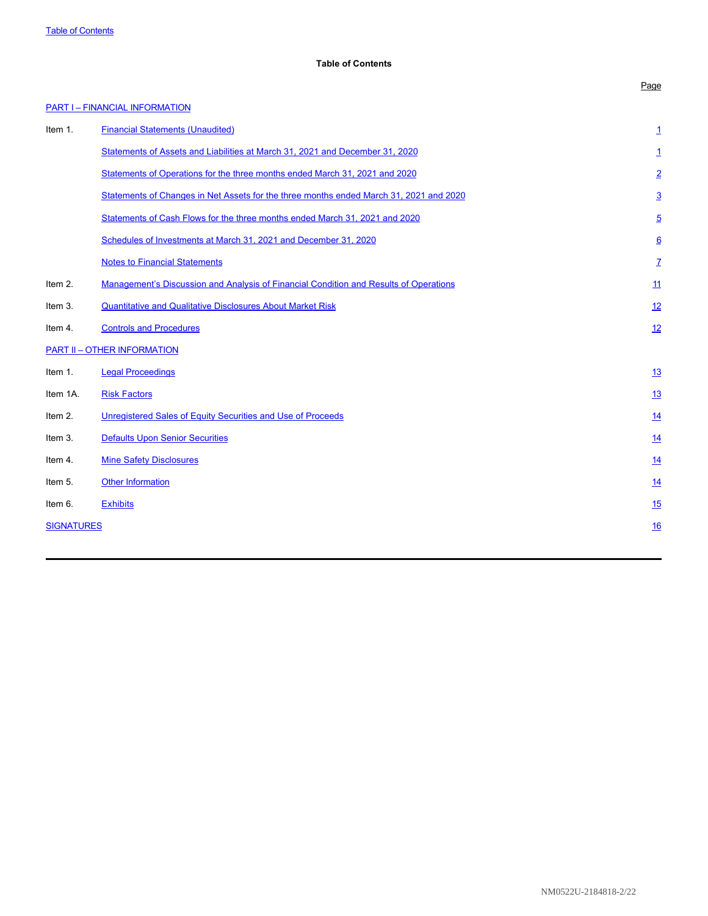# <span id="page-1-0"></span>**Table of Contents**

|                   |                                                                                        | Page            |
|-------------------|----------------------------------------------------------------------------------------|-----------------|
|                   | <b>PART I - FINANCIAL INFORMATION</b>                                                  |                 |
| Item 1.           | <b>Financial Statements (Unaudited)</b>                                                | 1               |
|                   | Statements of Assets and Liabilities at March 31, 2021 and December 31, 2020           | 1               |
|                   | Statements of Operations for the three months ended March 31, 2021 and 2020            | $\overline{2}$  |
|                   | Statements of Changes in Net Assets for the three months ended March 31, 2021 and 2020 | $\overline{3}$  |
|                   | Statements of Cash Flows for the three months ended March 31, 2021 and 2020            | $\overline{5}$  |
|                   | Schedules of Investments at March 31, 2021 and December 31, 2020                       | $\underline{6}$ |
|                   | <b>Notes to Financial Statements</b>                                                   | Z               |
| Item 2.           | Management's Discussion and Analysis of Financial Condition and Results of Operations  | 11              |
| Item 3.           | <b>Quantitative and Qualitative Disclosures About Market Risk</b>                      | 12              |
| Item 4.           | <b>Controls and Procedures</b>                                                         | 12              |
|                   | <b>PART II - OTHER INFORMATION</b>                                                     |                 |
| Item 1.           | <b>Legal Proceedings</b>                                                               | 13              |
| Item 1A.          | <b>Risk Factors</b>                                                                    | <u>13</u>       |
| Item 2.           | Unregistered Sales of Equity Securities and Use of Proceeds                            | 14              |
| Item 3.           | <b>Defaults Upon Senior Securities</b>                                                 | <u>14</u>       |
| Item 4.           | <b>Mine Safety Disclosures</b>                                                         | 14              |
| Item 5.           | <b>Other Information</b>                                                               | <u>14</u>       |
| Item 6.           | <b>Exhibits</b>                                                                        | 15              |
| <b>SIGNATURES</b> |                                                                                        | 16              |
|                   |                                                                                        |                 |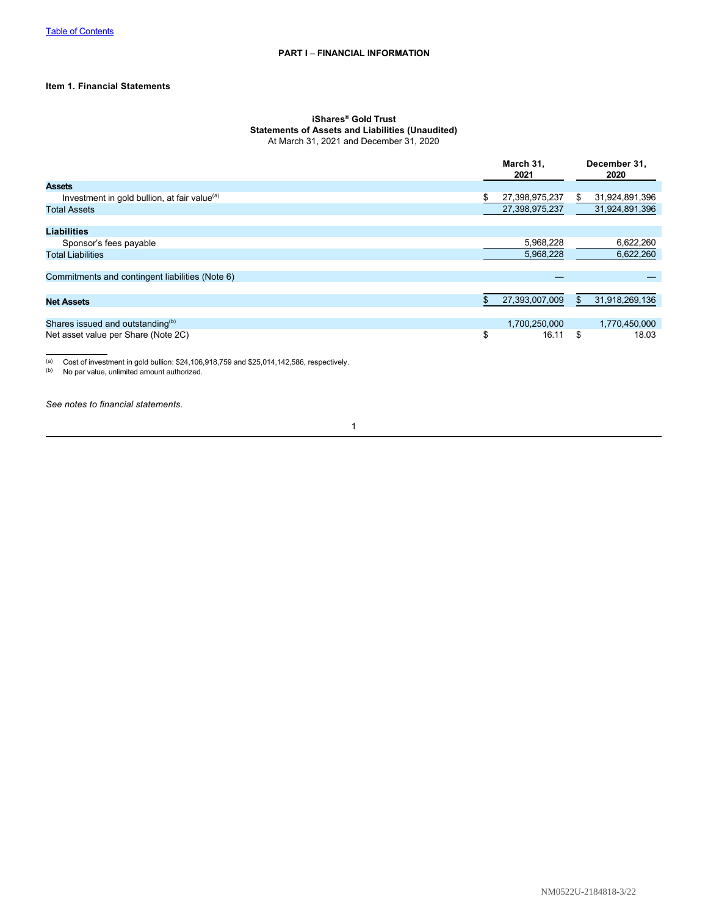# **Item 1. Financial Statements**

#### <span id="page-2-0"></span>**iShares® Gold Trust Statements of Assets and Liabilities (Unaudited)** At March 31, 2021 and December 31, 2020

|                                                          | March 31,<br>2021    | December 31,<br>2020   |
|----------------------------------------------------------|----------------------|------------------------|
| <b>Assets</b>                                            |                      |                        |
| Investment in gold bullion, at fair value <sup>(a)</sup> | \$<br>27,398,975,237 | 31,924,891,396<br>\$   |
| <b>Total Assets</b>                                      | 27,398,975,237       | 31,924,891,396         |
|                                                          |                      |                        |
| <b>Liabilities</b>                                       |                      |                        |
| Sponsor's fees payable                                   |                      | 5,968,228<br>6,622,260 |
| <b>Total Liabilities</b>                                 |                      | 5,968,228<br>6,622,260 |
|                                                          |                      |                        |
| Commitments and contingent liabilities (Note 6)          |                      |                        |
|                                                          |                      |                        |
| <b>Net Assets</b>                                        | 27,393,007,009       | 31,918,269,136         |
|                                                          |                      |                        |
| Shares issued and outstanding <sup>(b)</sup>             | 1,700,250,000        | 1,770,450,000          |
| Net asset value per Share (Note 2C)                      | \$                   | \$<br>18.03<br>16.11   |
|                                                          |                      |                        |
|                                                          |                      |                        |

(a) Cost of investment in gold bullion:  $$24,106,918,759$  and  $$25,014,142,586$ , respectively.<br>(b) No par value, unlimited amount authorized.

No par value, unlimited amount authorized.

*See notes to financial statements.*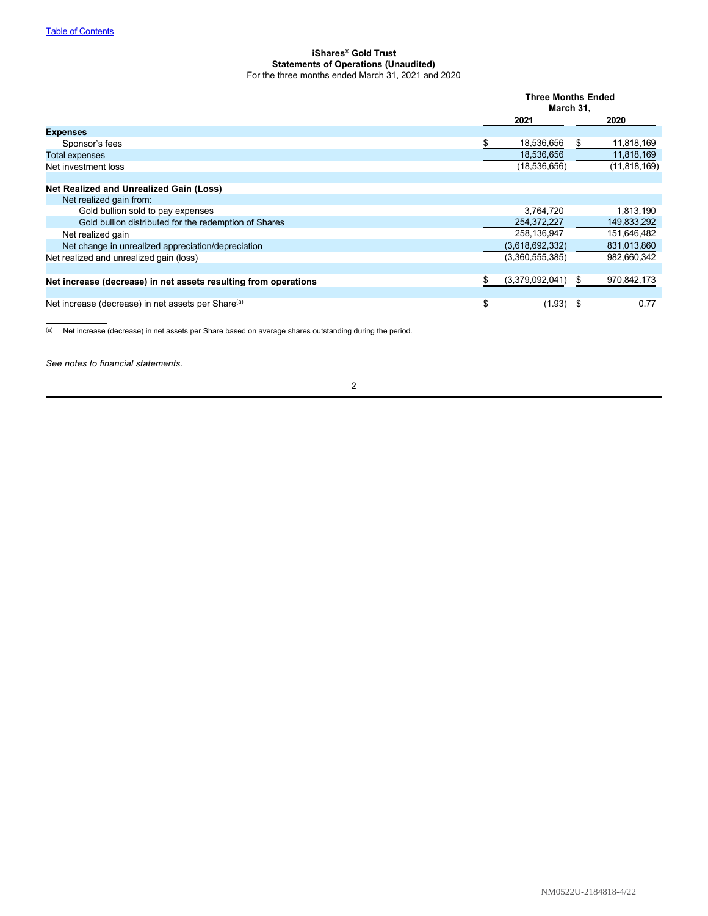### <span id="page-3-0"></span>**iShares® Gold Trust Statements of Operations (Unaudited)** For the three months ended March 31, 2021 and 2020

|                                                                 | <b>Three Months Ended</b><br>March 31, |    |                |
|-----------------------------------------------------------------|----------------------------------------|----|----------------|
|                                                                 | 2021                                   |    | 2020           |
| <b>Expenses</b>                                                 |                                        |    |                |
| Sponsor's fees                                                  | 18,536,656                             |    | 11,818,169     |
| <b>Total expenses</b>                                           | 18,536,656                             |    | 11,818,169     |
| Net investment loss                                             | (18,536,656)                           |    | (11, 818, 169) |
|                                                                 |                                        |    |                |
| Net Realized and Unrealized Gain (Loss)                         |                                        |    |                |
| Net realized gain from:                                         |                                        |    |                |
| Gold bullion sold to pay expenses                               | 3,764,720                              |    | 1,813,190      |
| Gold bullion distributed for the redemption of Shares           | 254,372,227                            |    | 149,833,292    |
| Net realized gain                                               | 258,136,947                            |    | 151,646,482    |
| Net change in unrealized appreciation/depreciation              | (3,618,692,332)                        |    | 831,013,860    |
| Net realized and unrealized gain (loss)                         | (3,360,555,385)                        |    | 982,660,342    |
|                                                                 |                                        |    |                |
| Net increase (decrease) in net assets resulting from operations | (3,379,092,041)                        | S. | 970,842,173    |
|                                                                 |                                        |    |                |
| Net increase (decrease) in net assets per Share <sup>(a)</sup>  | \$<br>$(1.93)$ \$                      |    | 0.77           |

(a) Net increase (decrease) in net assets per Share based on average shares outstanding during the period.

*See notes to financial statements.*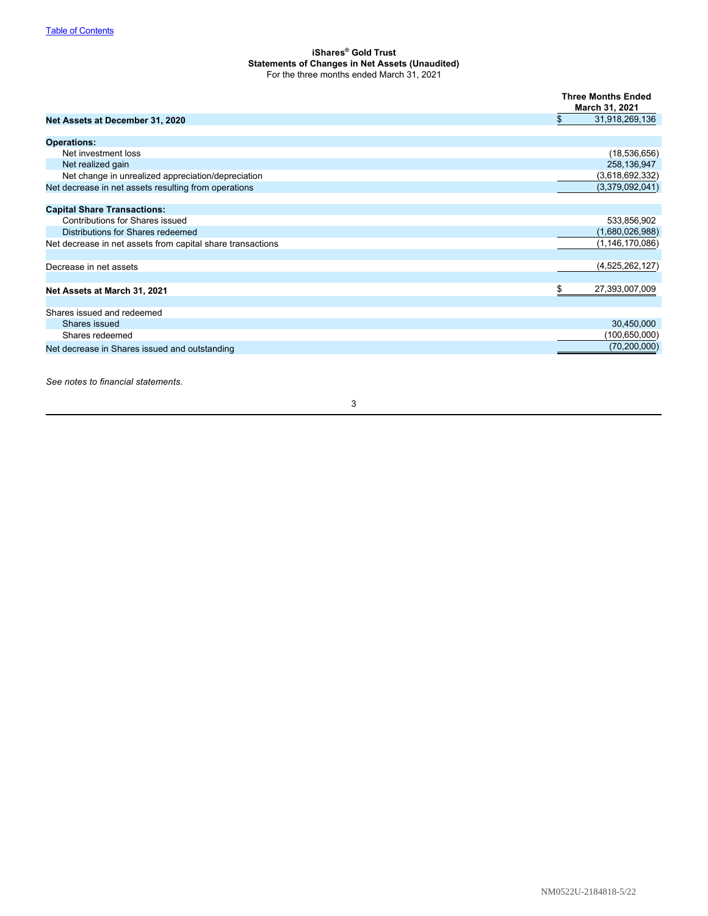## <span id="page-4-0"></span>**iShares® Gold Trust Statements of Changes in Net Assets (Unaudited)** For the three months ended March 31, 2021

|                                                            | <b>Three Months Ended</b><br>March 31, 2021 |
|------------------------------------------------------------|---------------------------------------------|
| Net Assets at December 31, 2020                            | \$<br>31,918,269,136                        |
| <b>Operations:</b>                                         |                                             |
| Net investment loss                                        | (18, 536, 656)                              |
| Net realized gain                                          | 258,136,947                                 |
| Net change in unrealized appreciation/depreciation         | (3,618,692,332)                             |
| Net decrease in net assets resulting from operations       | (3,379,092,041)                             |
| <b>Capital Share Transactions:</b>                         |                                             |
| <b>Contributions for Shares issued</b>                     | 533,856,902                                 |
| Distributions for Shares redeemed                          | (1,680,026,988)                             |
| Net decrease in net assets from capital share transactions | (1, 146, 170, 086)                          |
| Decrease in net assets                                     | (4,525,262,127)                             |
| Net Assets at March 31, 2021                               | \$<br>27,393,007,009                        |
| Shares issued and redeemed                                 |                                             |
| Shares issued                                              | 30,450,000                                  |
| Shares redeemed                                            | (100, 650, 000)                             |
| Net decrease in Shares issued and outstanding              | (70, 200, 000)                              |

*See notes to financial statements.*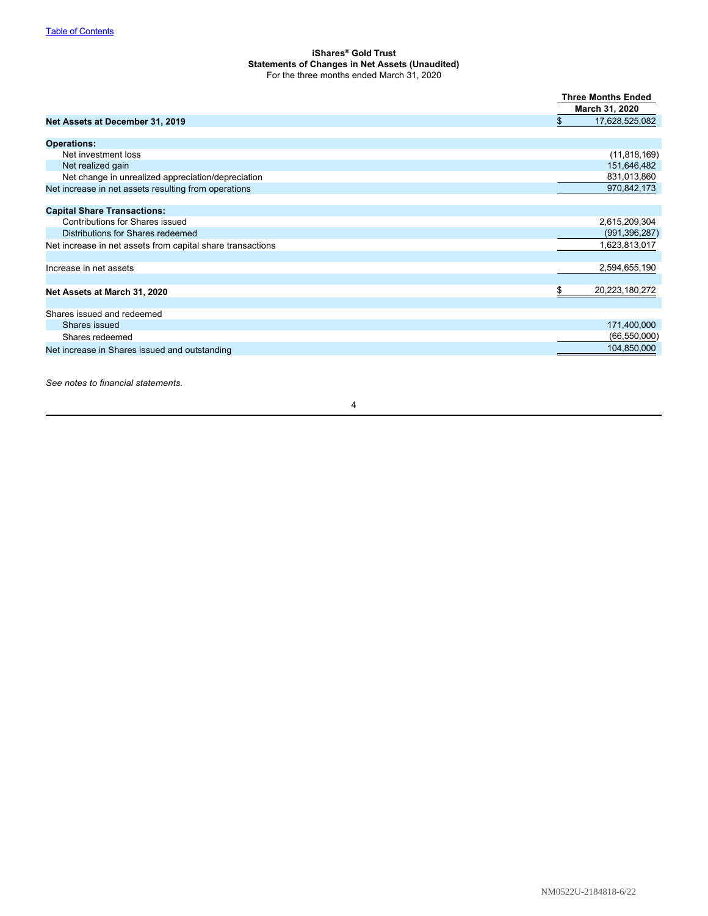## **iShares® Gold Trust Statements of Changes in Net Assets (Unaudited)** For the three months ended March 31, 2020

|                                                            | <b>Three Months Ended</b><br>March 31, 2020 |
|------------------------------------------------------------|---------------------------------------------|
| Net Assets at December 31, 2019                            | $\mathfrak{L}$<br>17,628,525,082            |
| <b>Operations:</b>                                         |                                             |
| Net investment loss                                        | (11,818,169)                                |
| Net realized gain                                          | 151,646,482                                 |
| Net change in unrealized appreciation/depreciation         | 831,013,860                                 |
| Net increase in net assets resulting from operations       | 970,842,173                                 |
| <b>Capital Share Transactions:</b>                         |                                             |
| Contributions for Shares issued                            | 2,615,209,304                               |
| Distributions for Shares redeemed                          | (991, 396, 287)                             |
| Net increase in net assets from capital share transactions | 1,623,813,017                               |
| Increase in net assets                                     | 2,594,655,190                               |
| Net Assets at March 31, 2020                               | \$<br>20,223,180,272                        |
| Shares issued and redeemed                                 |                                             |
| Shares issued                                              | 171,400,000                                 |
| Shares redeemed                                            | (66, 550, 000)                              |
| Net increase in Shares issued and outstanding              | 104,850,000                                 |

*See notes to financial statements.*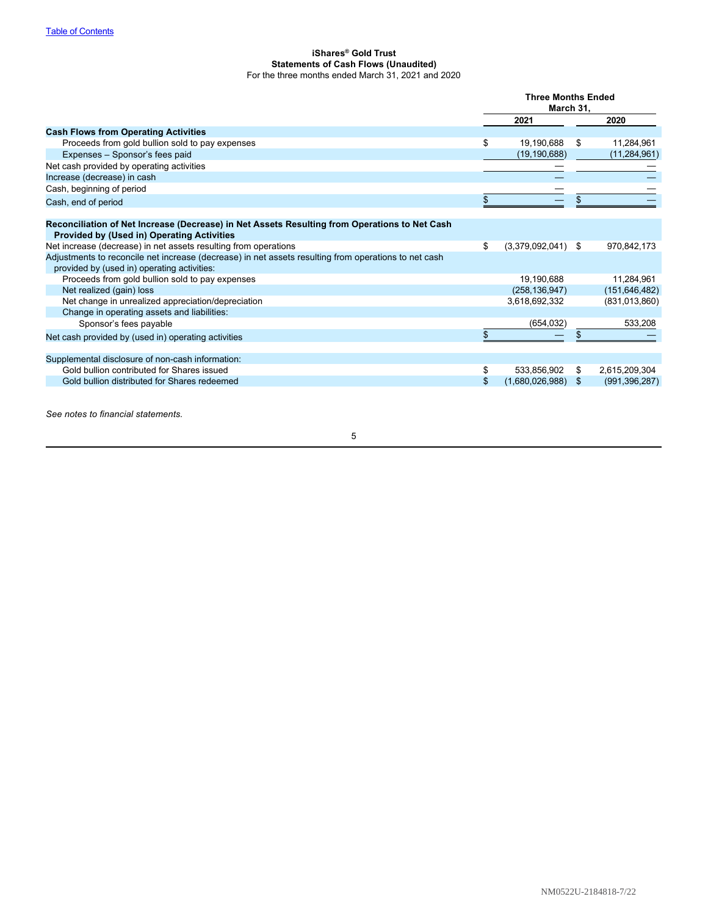## <span id="page-6-0"></span>**iShares® Gold Trust Statements of Cash Flows (Unaudited)** For the three months ended March 31, 2021 and 2020

|                                                                                                                                                    | <b>Three Months Ended</b><br>March 31, |                      |    |                 |
|----------------------------------------------------------------------------------------------------------------------------------------------------|----------------------------------------|----------------------|----|-----------------|
|                                                                                                                                                    |                                        | 2021                 |    | 2020            |
| <b>Cash Flows from Operating Activities</b>                                                                                                        |                                        |                      |    |                 |
| Proceeds from gold bullion sold to pay expenses                                                                                                    | \$                                     | 19,190,688           | \$ | 11,284,961      |
| Expenses - Sponsor's fees paid                                                                                                                     |                                        | (19, 190, 688)       |    | (11, 284, 961)  |
| Net cash provided by operating activities                                                                                                          |                                        |                      |    |                 |
| Increase (decrease) in cash                                                                                                                        |                                        |                      |    |                 |
| Cash, beginning of period                                                                                                                          |                                        |                      |    |                 |
| Cash, end of period                                                                                                                                | \$                                     |                      |    |                 |
|                                                                                                                                                    |                                        |                      |    |                 |
| Reconciliation of Net Increase (Decrease) in Net Assets Resulting from Operations to Net Cash<br><b>Provided by (Used in) Operating Activities</b> |                                        |                      |    |                 |
| Net increase (decrease) in net assets resulting from operations                                                                                    | \$                                     | $(3,379,092,041)$ \$ |    | 970,842,173     |
| Adjustments to reconcile net increase (decrease) in net assets resulting from operations to net cash                                               |                                        |                      |    |                 |
| provided by (used in) operating activities:                                                                                                        |                                        |                      |    |                 |
| Proceeds from gold bullion sold to pay expenses                                                                                                    |                                        | 19,190,688           |    | 11,284,961      |
| Net realized (gain) loss                                                                                                                           |                                        | (258, 136, 947)      |    | (151, 646, 482) |
| Net change in unrealized appreciation/depreciation                                                                                                 |                                        | 3,618,692,332        |    | (831,013,860)   |
| Change in operating assets and liabilities:                                                                                                        |                                        |                      |    |                 |
| Sponsor's fees payable                                                                                                                             |                                        | (654, 032)           |    | 533,208         |
| Net cash provided by (used in) operating activities                                                                                                |                                        |                      |    |                 |
| Supplemental disclosure of non-cash information:                                                                                                   |                                        |                      |    |                 |
| Gold bullion contributed for Shares issued                                                                                                         | \$                                     | 533,856,902          | \$ | 2,615,209,304   |
| Gold bullion distributed for Shares redeemed                                                                                                       | \$                                     | $(1,680,026,988)$ \$ |    | (991, 396, 287) |
|                                                                                                                                                    |                                        |                      |    |                 |

*See notes to financial statements.*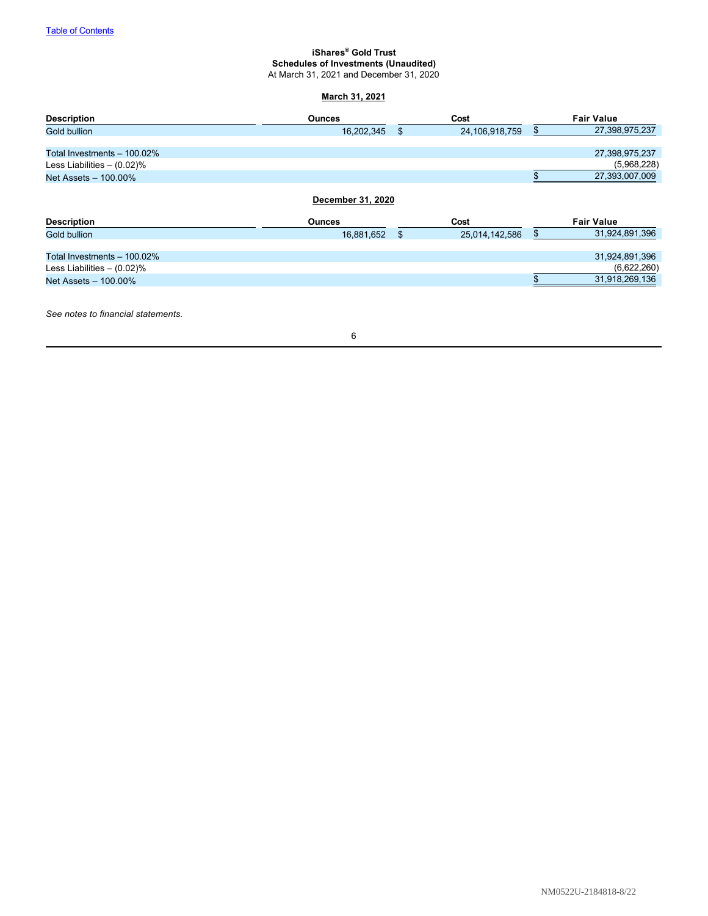# <span id="page-7-0"></span>**iShares® Gold Trust Schedules of Investments (Unaudited)**

At March 31, 2021 and December 31, 2020

# **March 31, 2021**

| <b>Description</b>            | <b>Ounces</b>                      | Cost                 | <b>Fair Value</b>    |
|-------------------------------|------------------------------------|----------------------|----------------------|
| Gold bullion                  | 16,202,345                         | \$<br>24,106,918,759 | \$<br>27,398,975,237 |
|                               |                                    |                      |                      |
| Total Investments - 100.02%   |                                    |                      | 27,398,975,237       |
| Less Liabilities $- (0.02)\%$ |                                    |                      | (5,968,228)          |
| Net Assets - 100.00%          |                                    |                      | 27,393,007,009       |
| <b>Description</b>            | December 31, 2020<br><b>Ounces</b> | Cost                 | <b>Fair Value</b>    |
| <b>Gold bullion</b>           | 16,881,652                         | \$<br>25,014,142,586 | \$<br>31,924,891,396 |
|                               |                                    |                      |                      |
| Total Investments - 100.02%   |                                    |                      | 31,924,891,396       |
| Less Liabilities $-$ (0.02)%  |                                    |                      | (6,622,260)          |
| Net Assets - 100.00%          |                                    |                      | 31,918,269,136       |
|                               |                                    |                      |                      |

*See notes to financial statements.*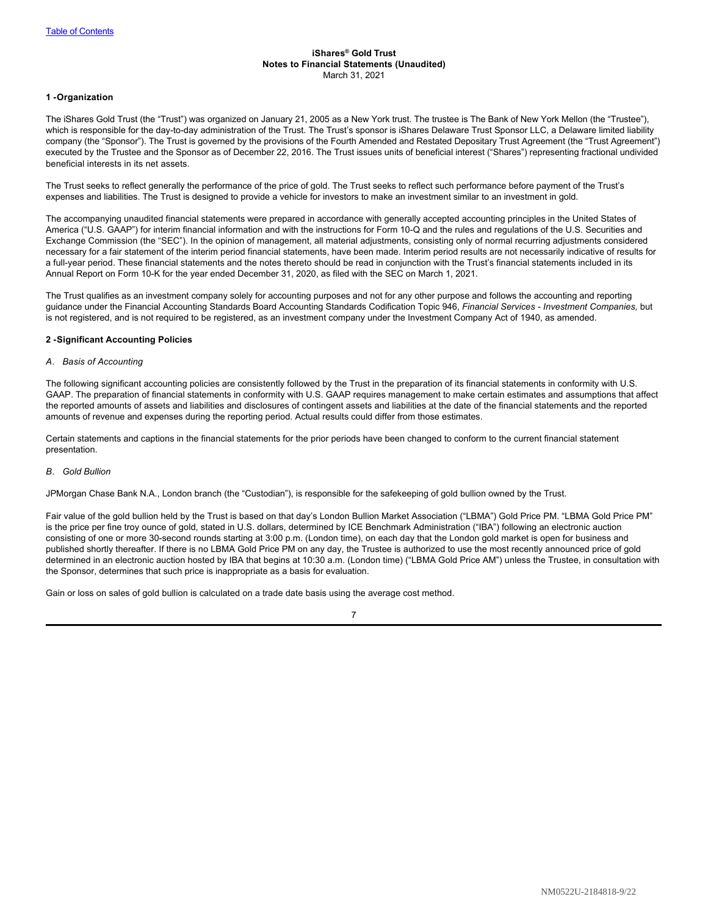### <span id="page-8-0"></span>**iShares® Gold Trust Notes to Financial Statements (Unaudited)** March 31, 2021

### **1 -Organization**

The iShares Gold Trust (the "Trust") was organized on January 21, 2005 as a New York trust. The trustee is The Bank of New York Mellon (the "Trustee"), which is responsible for the day-to-day administration of the Trust. The Trust's sponsor is iShares Delaware Trust Sponsor LLC, a Delaware limited liability company (the "Sponsor"). The Trust is governed by the provisions of the Fourth Amended and Restated Depositary Trust Agreement (the "Trust Agreement") executed by the Trustee and the Sponsor as of December 22, 2016. The Trust issues units of beneficial interest ("Shares") representing fractional undivided beneficial interests in its net assets.

The Trust seeks to reflect generally the performance of the price of gold. The Trust seeks to reflect such performance before payment of the Trust's expenses and liabilities. The Trust is designed to provide a vehicle for investors to make an investment similar to an investment in gold.

The accompanying unaudited financial statements were prepared in accordance with generally accepted accounting principles in the United States of America ("U.S. GAAP") for interim financial information and with the instructions for Form 10-Q and the rules and regulations of the U.S. Securities and Exchange Commission (the "SEC"). In the opinion of management, all material adjustments, consisting only of normal recurring adjustments considered necessary for a fair statement of the interim period financial statements, have been made. Interim period results are not necessarily indicative of results for a full-year period. These financial statements and the notes thereto should be read in conjunction with the Trust's financial statements included in its Annual Report on Form 10-K for the year ended December 31, 2020, as filed with the SEC on March 1, 2021.

The Trust qualifies as an investment company solely for accounting purposes and not for any other purpose and follows the accounting and reporting guidance under the Financial Accounting Standards Board Accounting Standards Codification Topic 946, *Financial Services - Investment Companies,* but is not registered, and is not required to be registered, as an investment company under the Investment Company Act of 1940, as amended.

## **2 -Significant Accounting Policies**

#### *A. Basis of Accounting*

The following significant accounting policies are consistently followed by the Trust in the preparation of its financial statements in conformity with U.S. GAAP. The preparation of financial statements in conformity with U.S. GAAP requires management to make certain estimates and assumptions that affect the reported amounts of assets and liabilities and disclosures of contingent assets and liabilities at the date of the financial statements and the reported amounts of revenue and expenses during the reporting period. Actual results could differ from those estimates.

Certain statements and captions in the financial statements for the prior periods have been changed to conform to the current financial statement presentation.

#### *B. Gold Bullion*

JPMorgan Chase Bank N.A., London branch (the "Custodian"), is responsible for the safekeeping of gold bullion owned by the Trust.

Fair value of the gold bullion held by the Trust is based on that day's London Bullion Market Association ("LBMA") Gold Price PM. "LBMA Gold Price PM" is the price per fine troy ounce of gold, stated in U.S. dollars, determined by ICE Benchmark Administration ("IBA") following an electronic auction consisting of one or more 30-second rounds starting at 3:00 p.m. (London time), on each day that the London gold market is open for business and published shortly thereafter. If there is no LBMA Gold Price PM on any day, the Trustee is authorized to use the most recently announced price of gold determined in an electronic auction hosted by IBA that begins at 10:30 a.m. (London time) ("LBMA Gold Price AM") unless the Trustee, in consultation with the Sponsor, determines that such price is inappropriate as a basis for evaluation.

Gain or loss on sales of gold bullion is calculated on a trade date basis using the average cost method.

|  | ٦ | I |  |
|--|---|---|--|
|  |   | I |  |
|  |   |   |  |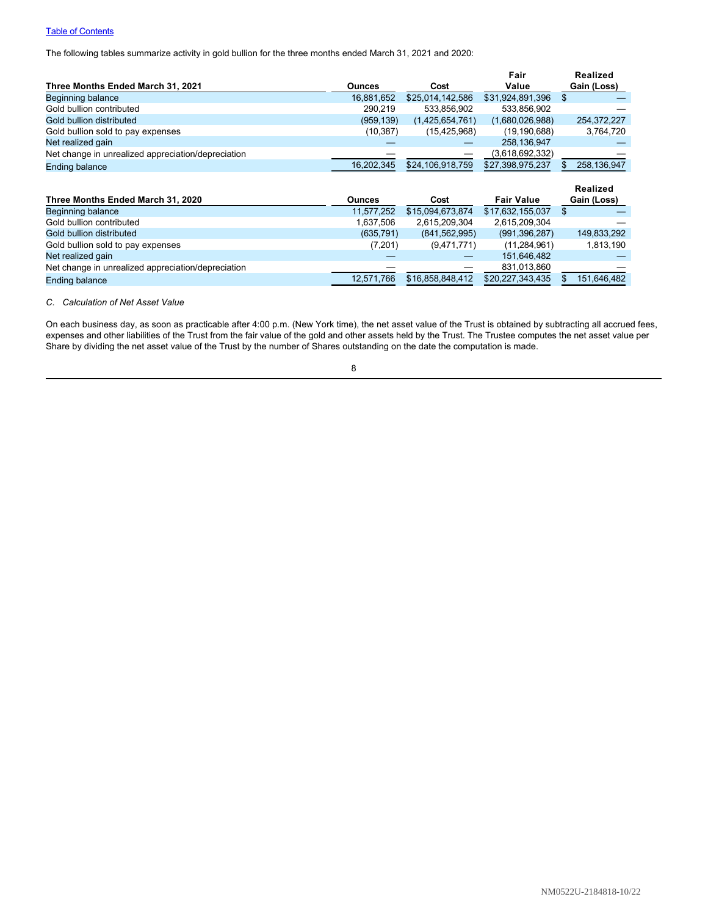# **[Table of Contents](#page-1-0)**

The following tables summarize activity in gold bullion for the three months ended March 31, 2021 and 2020:

|                                                    |               |                  | Fair              | <b>Realized</b> |
|----------------------------------------------------|---------------|------------------|-------------------|-----------------|
| Three Months Ended March 31, 2021                  | <b>Ounces</b> | Cost             | Value             | Gain (Loss)     |
| Beginning balance                                  | 16,881,652    | \$25,014,142,586 | \$31,924,891,396  | \$              |
| Gold bullion contributed                           | 290,219       | 533,856,902      | 533,856,902       |                 |
| Gold bullion distributed                           | (959, 139)    | (1,425,654,761)  | (1,680,026,988)   | 254,372,227     |
| Gold bullion sold to pay expenses                  | (10, 387)     | (15, 425, 968)   | (19, 190, 688)    | 3,764,720       |
| Net realized gain                                  |               |                  | 258,136,947       |                 |
| Net change in unrealized appreciation/depreciation |               |                  | (3,618,692,332)   |                 |
| <b>Ending balance</b>                              | 16,202,345    | \$24,106,918,759 | \$27,398,975,237  | 258,136,947     |
|                                                    |               |                  |                   |                 |
|                                                    |               |                  |                   | Realized        |
| Three Months Ended March 31, 2020                  | <b>Ounces</b> | Cost             | <b>Fair Value</b> | Gain (Loss)     |
| Beginning balance                                  | 11,577,252    | \$15,094,673,874 | \$17,632,155,037  | \$              |
| Gold bullion contributed                           | 1,637,506     | 2,615,209,304    | 2,615,209,304     |                 |
| Gold bullion distributed                           | (635, 791)    | (841, 562, 995)  | (991, 396, 287)   | 149,833,292     |
| Gold bullion sold to pay expenses                  | (7,201)       | (9,471,771)      | (11, 284, 961)    | 1,813,190       |
| Net realized gain                                  |               |                  | 151,646,482       |                 |
| Net change in unrealized appreciation/depreciation |               |                  | 831,013,860       |                 |

## *C. Calculation of Net Asset Value*

On each business day, as soon as practicable after 4:00 p.m. (New York time), the net asset value of the Trust is obtained by subtracting all accrued fees, expenses and other liabilities of the Trust from the fair value of the gold and other assets held by the Trust. The Trustee computes the net asset value per Share by dividing the net asset value of the Trust by the number of Shares outstanding on the date the computation is made.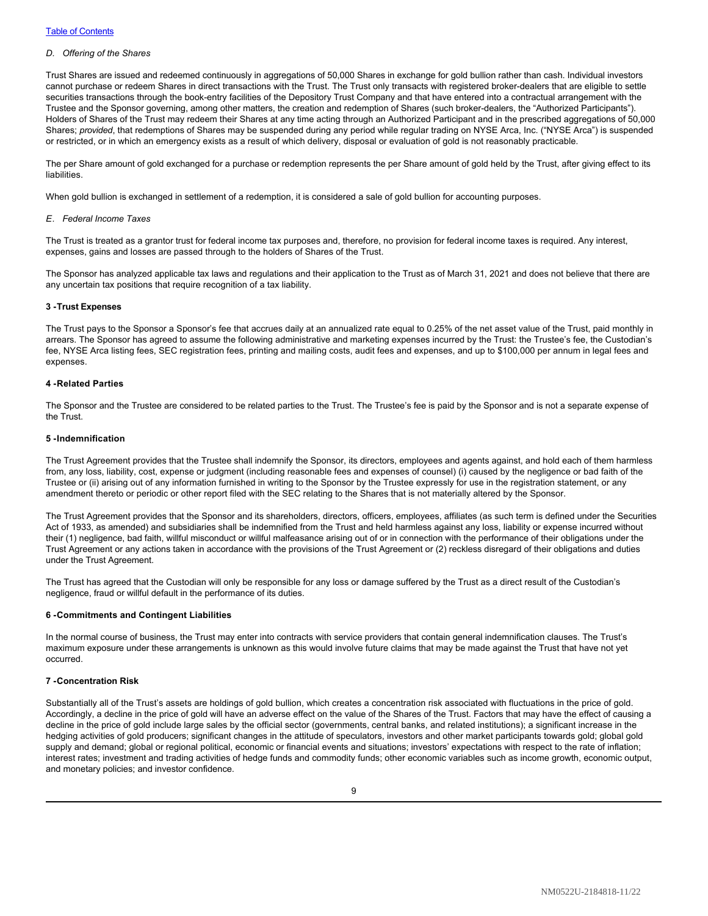#### *D. Offering of the Shares*

Trust Shares are issued and redeemed continuously in aggregations of 50,000 Shares in exchange for gold bullion rather than cash. Individual investors cannot purchase or redeem Shares in direct transactions with the Trust. The Trust only transacts with registered broker-dealers that are eligible to settle securities transactions through the book-entry facilities of the Depository Trust Company and that have entered into a contractual arrangement with the Trustee and the Sponsor governing, among other matters, the creation and redemption of Shares (such broker-dealers, the "Authorized Participants"). Holders of Shares of the Trust may redeem their Shares at any time acting through an Authorized Participant and in the prescribed aggregations of 50,000 Shares; *provided*, that redemptions of Shares may be suspended during any period while regular trading on NYSE Arca, Inc. ("NYSE Arca") is suspended or restricted, or in which an emergency exists as a result of which delivery, disposal or evaluation of gold is not reasonably practicable.

The per Share amount of gold exchanged for a purchase or redemption represents the per Share amount of gold held by the Trust, after giving effect to its **liabilities** 

When gold bullion is exchanged in settlement of a redemption, it is considered a sale of gold bullion for accounting purposes.

#### *E. Federal Income Taxes*

The Trust is treated as a grantor trust for federal income tax purposes and, therefore, no provision for federal income taxes is required. Any interest, expenses, gains and losses are passed through to the holders of Shares of the Trust.

The Sponsor has analyzed applicable tax laws and regulations and their application to the Trust as of March 31, 2021 and does not believe that there are any uncertain tax positions that require recognition of a tax liability.

#### **3 -Trust Expenses**

The Trust pays to the Sponsor a Sponsor's fee that accrues daily at an annualized rate equal to 0.25% of the net asset value of the Trust, paid monthly in arrears. The Sponsor has agreed to assume the following administrative and marketing expenses incurred by the Trust: the Trustee's fee, the Custodian's fee, NYSE Arca listing fees, SEC registration fees, printing and mailing costs, audit fees and expenses, and up to \$100,000 per annum in legal fees and expenses.

#### **4 -Related Parties**

The Sponsor and the Trustee are considered to be related parties to the Trust. The Trustee's fee is paid by the Sponsor and is not a separate expense of the Trust.

#### **5 -Indemnification**

The Trust Agreement provides that the Trustee shall indemnify the Sponsor, its directors, employees and agents against, and hold each of them harmless from, any loss, liability, cost, expense or judgment (including reasonable fees and expenses of counsel) (i) caused by the negligence or bad faith of the Trustee or (ii) arising out of any information furnished in writing to the Sponsor by the Trustee expressly for use in the registration statement, or any amendment thereto or periodic or other report filed with the SEC relating to the Shares that is not materially altered by the Sponsor.

The Trust Agreement provides that the Sponsor and its shareholders, directors, officers, employees, affiliates (as such term is defined under the Securities Act of 1933, as amended) and subsidiaries shall be indemnified from the Trust and held harmless against any loss, liability or expense incurred without their (1) negligence, bad faith, willful misconduct or willful malfeasance arising out of or in connection with the performance of their obligations under the Trust Agreement or any actions taken in accordance with the provisions of the Trust Agreement or (2) reckless disregard of their obligations and duties under the Trust Agreement.

The Trust has agreed that the Custodian will only be responsible for any loss or damage suffered by the Trust as a direct result of the Custodian's negligence, fraud or willful default in the performance of its duties.

#### **6 -Commitments and Contingent Liabilities**

In the normal course of business, the Trust may enter into contracts with service providers that contain general indemnification clauses. The Trust's maximum exposure under these arrangements is unknown as this would involve future claims that may be made against the Trust that have not yet occurred.

## **7 -Concentration Risk**

Substantially all of the Trust's assets are holdings of gold bullion, which creates a concentration risk associated with fluctuations in the price of gold. Accordingly, a decline in the price of gold will have an adverse effect on the value of the Shares of the Trust. Factors that may have the effect of causing a decline in the price of gold include large sales by the official sector (governments, central banks, and related institutions); a significant increase in the hedging activities of gold producers; significant changes in the attitude of speculators, investors and other market participants towards gold; global gold supply and demand; global or regional political, economic or financial events and situations; investors' expectations with respect to the rate of inflation; interest rates; investment and trading activities of hedge funds and commodity funds; other economic variables such as income growth, economic output, and monetary policies; and investor confidence.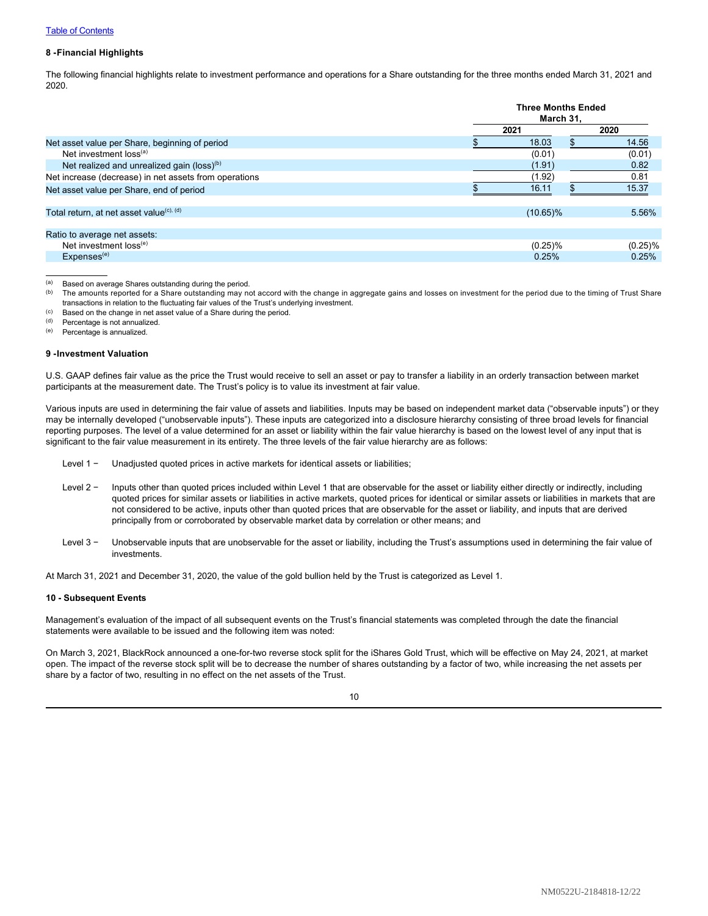## **8 -Financial Highlights**

The following financial highlights relate to investment performance and operations for a Share outstanding for the three months ended March 31, 2021 and 2020.

|                                                        |      | <b>Three Months Ended</b><br>March 31. |            |  |  |
|--------------------------------------------------------|------|----------------------------------------|------------|--|--|
|                                                        | 2021 |                                        | 2020       |  |  |
| Net asset value per Share, beginning of period         |      | 18.03                                  | 14.56      |  |  |
| Net investment loss <sup>(a)</sup>                     |      | (0.01)                                 | (0.01)     |  |  |
| Net realized and unrealized gain (loss) <sup>(b)</sup> |      | (1.91)                                 | 0.82       |  |  |
| Net increase (decrease) in net assets from operations  |      | (1.92)                                 | 0.81       |  |  |
| Net asset value per Share, end of period               |      | 16.11                                  | 15.37      |  |  |
| Total return, at net asset value <sup>(c), (d)</sup>   |      | $(10.65)\%$                            | 5.56%      |  |  |
| Ratio to average net assets:                           |      |                                        |            |  |  |
| Net investment loss <sup>(e)</sup>                     |      | $(0.25)\%$                             | $(0.25)\%$ |  |  |
| Expenses <sup>(e)</sup>                                |      | 0.25%                                  | 0.25%      |  |  |

(a) Based on average Shares outstanding during the period.<br>(b) The amounts reported for a Share outstanding may no The amounts reported for a Share outstanding may not accord with the change in aggregate gains and losses on investment for the period due to the timing of Trust Share transactions in relation to the fluctuating fair values of the Trust's underlying investment.

- $(1)$  Based on the change in net asset value of a Share during the period.<br>(d) Percentage is not annualized
- Percentage is not annualized.

(e) Percentage is annualized.

#### **9 -Investment Valuation**

U.S. GAAP defines fair value as the price the Trust would receive to sell an asset or pay to transfer a liability in an orderly transaction between market participants at the measurement date. The Trust's policy is to value its investment at fair value.

Various inputs are used in determining the fair value of assets and liabilities. Inputs may be based on independent market data ("observable inputs") or they may be internally developed ("unobservable inputs"). These inputs are categorized into a disclosure hierarchy consisting of three broad levels for financial reporting purposes. The level of a value determined for an asset or liability within the fair value hierarchy is based on the lowest level of any input that is significant to the fair value measurement in its entirety. The three levels of the fair value hierarchy are as follows:

- Level 1 −  Unadjusted quoted prices in active markets for identical assets or liabilities;
- Level 2 −  Inputs other than quoted prices included within Level 1 that are observable for the asset or liability either directly or indirectly, including quoted prices for similar assets or liabilities in active markets, quoted prices for identical or similar assets or liabilities in markets that are not considered to be active, inputs other than quoted prices that are observable for the asset or liability, and inputs that are derived principally from or corroborated by observable market data by correlation or other means; and
- Level 3 −  Unobservable inputs that are unobservable for the asset or liability, including the Trust's assumptions used in determining the fair value of investments.

At March 31, 2021 and December 31, 2020, the value of the gold bullion held by the Trust is categorized as Level 1.

#### **10 - Subsequent Events**

Management's evaluation of the impact of all subsequent events on the Trust's financial statements was completed through the date the financial statements were available to be issued and the following item was noted:

On March 3, 2021, BlackRock announced a one-for-two reverse stock split for the iShares Gold Trust, which will be effective on May 24, 2021, at market open. The impact of the reverse stock split will be to decrease the number of shares outstanding by a factor of two, while increasing the net assets per share by a factor of two, resulting in no effect on the net assets of the Trust.

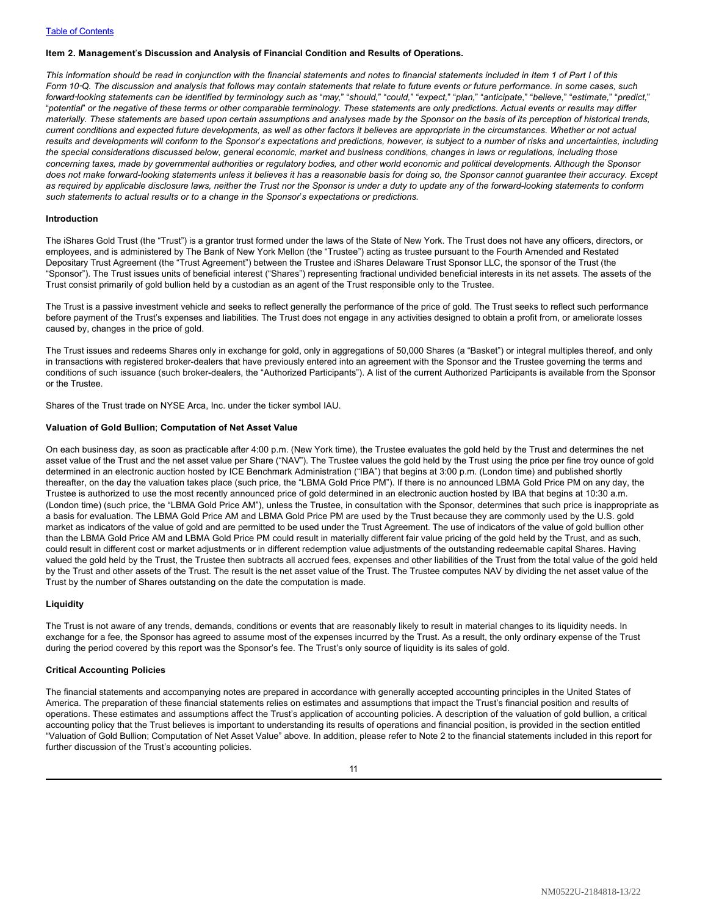#### <span id="page-12-0"></span>**Item 2. Management**'**s Discussion and Analysis of Financial Condition and Results of Operations.**

*This information should be read in conjunction with the financial statements and notes to financial statements included in Item 1 of Part I of this Form 10*‑*Q. The discussion and analysis that follows may contain statements that relate to future events or future performance. In some cases, such* forward-looking statements can be identified by terminology such as "may," "should," "could," "expect," "plan," "anticipate," "believe," "estimate," "predict," "*potential*" *or the negative of these terms or other comparable terminology. These statements are only predictions. Actual events or results may differ materially. These statements are based upon certain assumptions and analyses made by the Sponsor on the basis of its perception of historical trends, current conditions and expected future developments, as well as other factors it believes are appropriate in the circumstances. Whether or not actual results and developments will conform to the Sponsor*'*s expectations and predictions, however, is subject to a number of risks and uncertainties, including the special considerations discussed below, general economic, market and business conditions, changes in laws or regulations, including those concerning taxes, made by governmental authorities or regulatory bodies, and other world economic and political developments. Although the Sponsor does not make forward-looking statements unless it believes it has a reasonable basis for doing so, the Sponsor cannot guarantee their accuracy. Except as required by applicable disclosure laws, neither the Trust nor the Sponsor is under a duty to update any of the forward-looking statements to conform such statements to actual results or to a change in the Sponsor*'*s expectations or predictions.*

#### **Introduction**

The iShares Gold Trust (the "Trust") is a grantor trust formed under the laws of the State of New York. The Trust does not have any officers, directors, or employees, and is administered by The Bank of New York Mellon (the "Trustee") acting as trustee pursuant to the Fourth Amended and Restated Depositary Trust Agreement (the "Trust Agreement") between the Trustee and iShares Delaware Trust Sponsor LLC, the sponsor of the Trust (the "Sponsor"). The Trust issues units of beneficial interest ("Shares") representing fractional undivided beneficial interests in its net assets. The assets of the Trust consist primarily of gold bullion held by a custodian as an agent of the Trust responsible only to the Trustee.

The Trust is a passive investment vehicle and seeks to reflect generally the performance of the price of gold. The Trust seeks to reflect such performance before payment of the Trust's expenses and liabilities. The Trust does not engage in any activities designed to obtain a profit from, or ameliorate losses caused by, changes in the price of gold.

The Trust issues and redeems Shares only in exchange for gold, only in aggregations of 50,000 Shares (a "Basket") or integral multiples thereof, and only in transactions with registered broker-dealers that have previously entered into an agreement with the Sponsor and the Trustee governing the terms and conditions of such issuance (such broker-dealers, the "Authorized Participants"). A list of the current Authorized Participants is available from the Sponsor or the Trustee.

Shares of the Trust trade on NYSE Arca, Inc. under the ticker symbol IAU.

#### **Valuation of Gold Bullion**; **Computation of Net Asset Value**

On each business day, as soon as practicable after 4:00 p.m. (New York time), the Trustee evaluates the gold held by the Trust and determines the net asset value of the Trust and the net asset value per Share ("NAV"). The Trustee values the gold held by the Trust using the price per fine troy ounce of gold determined in an electronic auction hosted by ICE Benchmark Administration ("IBA") that begins at 3:00 p.m. (London time) and published shortly thereafter, on the day the valuation takes place (such price, the "LBMA Gold Price PM"). If there is no announced LBMA Gold Price PM on any day, the Trustee is authorized to use the most recently announced price of gold determined in an electronic auction hosted by IBA that begins at 10:30 a.m. (London time) (such price, the "LBMA Gold Price AM"), unless the Trustee, in consultation with the Sponsor, determines that such price is inappropriate as a basis for evaluation. The LBMA Gold Price AM and LBMA Gold Price PM are used by the Trust because they are commonly used by the U.S. gold market as indicators of the value of gold and are permitted to be used under the Trust Agreement. The use of indicators of the value of gold bullion other than the LBMA Gold Price AM and LBMA Gold Price PM could result in materially different fair value pricing of the gold held by the Trust, and as such, could result in different cost or market adjustments or in different redemption value adjustments of the outstanding redeemable capital Shares. Having valued the gold held by the Trust, the Trustee then subtracts all accrued fees, expenses and other liabilities of the Trust from the total value of the gold held by the Trust and other assets of the Trust. The result is the net asset value of the Trust. The Trustee computes NAV by dividing the net asset value of the Trust by the number of Shares outstanding on the date the computation is made.

### **Liquidity**

The Trust is not aware of any trends, demands, conditions or events that are reasonably likely to result in material changes to its liquidity needs. In exchange for a fee, the Sponsor has agreed to assume most of the expenses incurred by the Trust. As a result, the only ordinary expense of the Trust during the period covered by this report was the Sponsor's fee. The Trust's only source of liquidity is its sales of gold.

#### **Critical Accounting Policies**

The financial statements and accompanying notes are prepared in accordance with generally accepted accounting principles in the United States of America. The preparation of these financial statements relies on estimates and assumptions that impact the Trust's financial position and results of operations. These estimates and assumptions affect the Trust's application of accounting policies. A description of the valuation of gold bullion, a critical accounting policy that the Trust believes is important to understanding its results of operations and financial position, is provided in the section entitled "Valuation of Gold Bullion; Computation of Net Asset Value" above. In addition, please refer to Note 2 to the financial statements included in this report for further discussion of the Trust's accounting policies.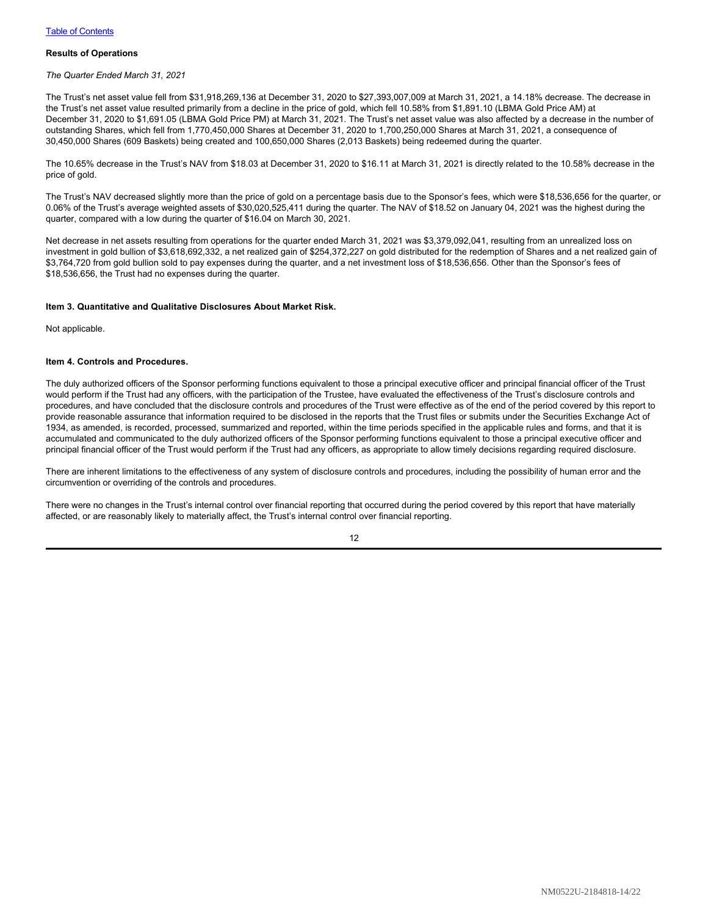## **Results of Operations**

#### *The Quarter Ended March 31, 2021*

The Trust's net asset value fell from \$31,918,269,136 at December 31, 2020 to \$27,393,007,009 at March 31, 2021, a 14.18% decrease. The decrease in the Trust's net asset value resulted primarily from a decline in the price of gold, which fell 10.58% from \$1,891.10 (LBMA Gold Price AM) at December 31, 2020 to \$1,691.05 (LBMA Gold Price PM) at March 31, 2021. The Trust's net asset value was also affected by a decrease in the number of outstanding Shares, which fell from 1,770,450,000 Shares at December 31, 2020 to 1,700,250,000 Shares at March 31, 2021, a consequence of 30,450,000 Shares (609 Baskets) being created and 100,650,000 Shares (2,013 Baskets) being redeemed during the quarter.

The 10.65% decrease in the Trust's NAV from \$18.03 at December 31, 2020 to \$16.11 at March 31, 2021 is directly related to the 10.58% decrease in the price of gold.

The Trust's NAV decreased slightly more than the price of gold on a percentage basis due to the Sponsor's fees, which were \$18,536,656 for the quarter, or 0.06% of the Trust's average weighted assets of \$30,020,525,411 during the quarter. The NAV of \$18.52 on January 04, 2021 was the highest during the quarter, compared with a low during the quarter of \$16.04 on March 30, 2021.

Net decrease in net assets resulting from operations for the quarter ended March 31, 2021 was \$3,379,092,041, resulting from an unrealized loss on investment in gold bullion of \$3,618,692,332, a net realized gain of \$254,372,227 on gold distributed for the redemption of Shares and a net realized gain of \$3,764,720 from gold bullion sold to pay expenses during the quarter, and a net investment loss of \$18,536,656. Other than the Sponsor's fees of \$18,536,656, the Trust had no expenses during the quarter.

#### <span id="page-13-0"></span>**Item 3. Quantitative and Qualitative Disclosures About Market Risk.**

Not applicable.

#### <span id="page-13-1"></span>**Item 4. Controls and Procedures.**

The duly authorized officers of the Sponsor performing functions equivalent to those a principal executive officer and principal financial officer of the Trust would perform if the Trust had any officers, with the participation of the Trustee, have evaluated the effectiveness of the Trust's disclosure controls and procedures, and have concluded that the disclosure controls and procedures of the Trust were effective as of the end of the period covered by this report to provide reasonable assurance that information required to be disclosed in the reports that the Trust files or submits under the Securities Exchange Act of 1934, as amended, is recorded, processed, summarized and reported, within the time periods specified in the applicable rules and forms, and that it is accumulated and communicated to the duly authorized officers of the Sponsor performing functions equivalent to those a principal executive officer and principal financial officer of the Trust would perform if the Trust had any officers, as appropriate to allow timely decisions regarding required disclosure.

There are inherent limitations to the effectiveness of any system of disclosure controls and procedures, including the possibility of human error and the circumvention or overriding of the controls and procedures.

There were no changes in the Trust's internal control over financial reporting that occurred during the period covered by this report that have materially affected, or are reasonably likely to materially affect, the Trust's internal control over financial reporting.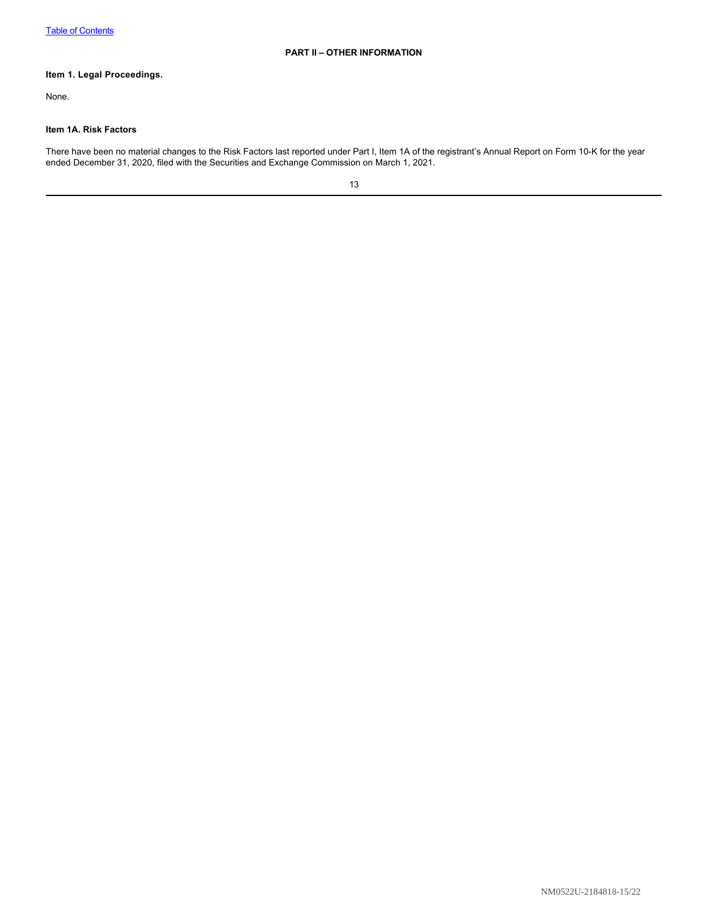# <span id="page-14-1"></span><span id="page-14-0"></span>**Item 1. Legal Proceedings.**

None.

## <span id="page-14-2"></span>**Item 1A. Risk Factors**

There have been no material changes to the Risk Factors last reported under Part I, Item 1A of the registrant's Annual Report on Form 10-K for the year ended December 31, 2020, filed with the Securities and Exchange Commission on March 1, 2021.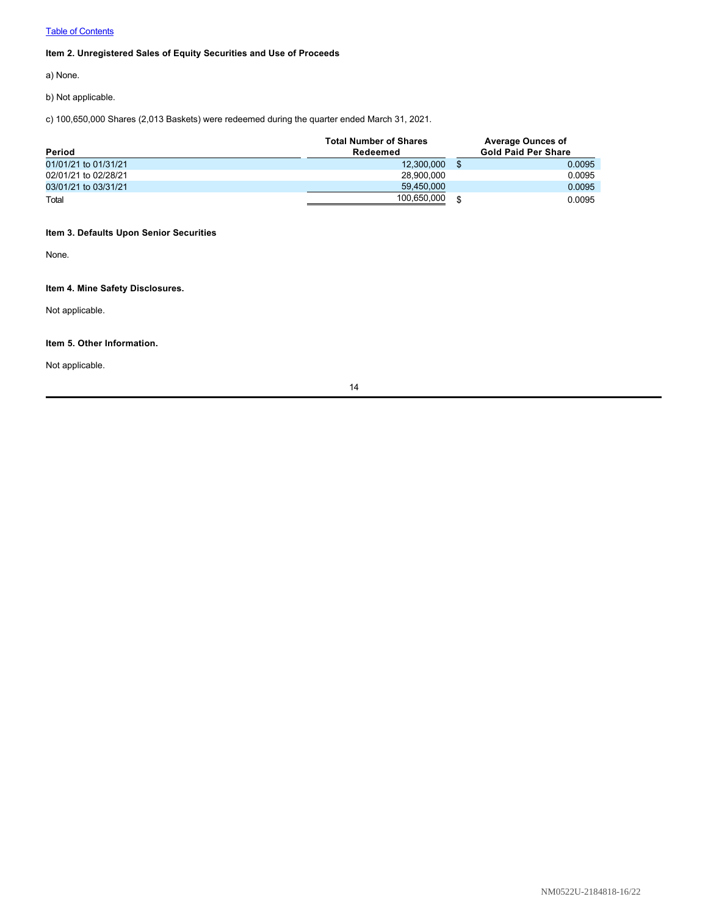# **[Table of Contents](#page-1-0)**

# <span id="page-15-0"></span>**Item 2. Unregistered Sales of Equity Securities and Use of Proceeds**

a) None.

b) Not applicable.

c) 100,650,000 Shares (2,013 Baskets) were redeemed during the quarter ended March 31, 2021.

| Period               | <b>Total Number of Shares</b><br>Redeemed | <b>Average Ounces of</b><br><b>Gold Paid Per Share</b> |        |
|----------------------|-------------------------------------------|--------------------------------------------------------|--------|
| 01/01/21 to 01/31/21 | 12,300,000                                |                                                        | 0.0095 |
| 02/01/21 to 02/28/21 | 28.900.000                                |                                                        | 0.0095 |
| 03/01/21 to 03/31/21 | 59.450.000                                |                                                        | 0.0095 |
| Total                | 100,650,000                               | \$                                                     | 0.0095 |

# <span id="page-15-1"></span>**Item 3. Defaults Upon Senior Securities**

None.

# <span id="page-15-2"></span>**Item 4. Mine Safety Disclosures.**

Not applicable.

## <span id="page-15-3"></span>**Item 5. Other Information.**

Not applicable.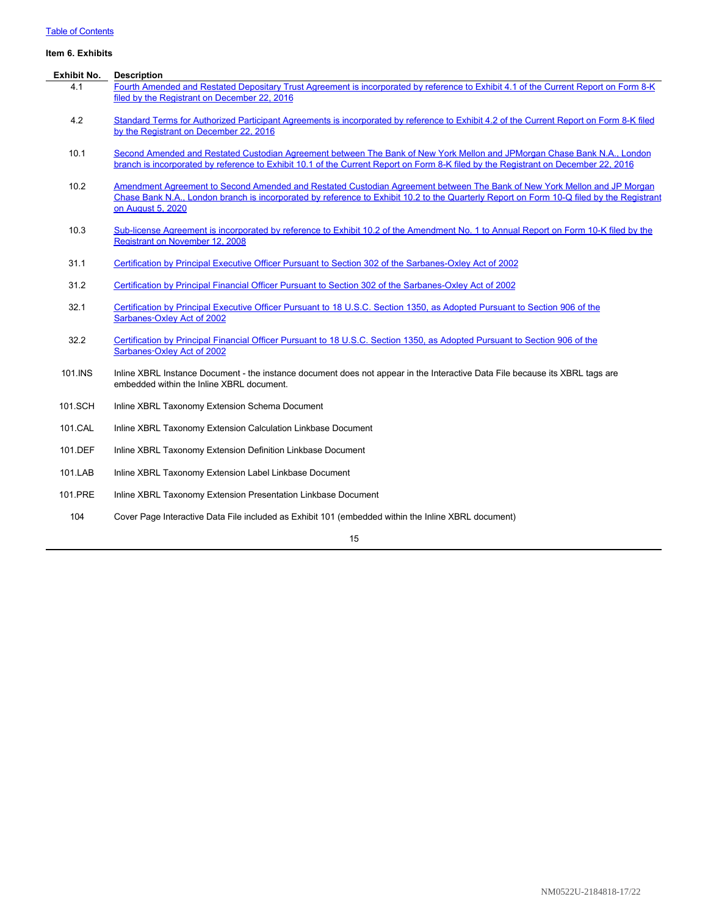# **[Table of Contents](#page-1-0)**

# <span id="page-16-0"></span>**Item 6. Exhibits**

| <b>Exhibit No.</b> | <b>Description</b>                                                                                                                                                                                                                                                                        |
|--------------------|-------------------------------------------------------------------------------------------------------------------------------------------------------------------------------------------------------------------------------------------------------------------------------------------|
| 4.1                | Fourth Amended and Restated Depositary Trust Agreement is incorporated by reference to Exhibit 4.1 of the Current Report on Form 8-K<br>filed by the Registrant on December 22, 2016                                                                                                      |
| 4.2                | Standard Terms for Authorized Participant Agreements is incorporated by reference to Exhibit 4.2 of the Current Report on Form 8-K filed<br>by the Registrant on December 22, 2016                                                                                                        |
| 10.1               | Second Amended and Restated Custodian Agreement between The Bank of New York Mellon and JPMorgan Chase Bank N.A., London<br>branch is incorporated by reference to Exhibit 10.1 of the Current Report on Form 8-K filed by the Registrant on December 22, 2016                            |
| 10.2               | Amendment Agreement to Second Amended and Restated Custodian Agreement between The Bank of New York Mellon and JP Morgan<br>Chase Bank N.A., London branch is incorporated by reference to Exhibit 10.2 to the Quarterly Report on Form 10-Q filed by the Registrant<br>on August 5, 2020 |
| 10.3               | Sub-license Agreement is incorporated by reference to Exhibit 10.2 of the Amendment No. 1 to Annual Report on Form 10-K filed by the<br><b>Registrant on November 12, 2008</b>                                                                                                            |
| 31.1               | Certification by Principal Executive Officer Pursuant to Section 302 of the Sarbanes-Oxley Act of 2002                                                                                                                                                                                    |
| 31.2               | Certification by Principal Financial Officer Pursuant to Section 302 of the Sarbanes-Oxley Act of 2002                                                                                                                                                                                    |
| 32.1               | Certification by Principal Executive Officer Pursuant to 18 U.S.C. Section 1350, as Adopted Pursuant to Section 906 of the<br>Sarbanes-Oxley Act of 2002                                                                                                                                  |
| 32.2               | Certification by Principal Financial Officer Pursuant to 18 U.S.C. Section 1350, as Adopted Pursuant to Section 906 of the<br>Sarbanes-Oxley Act of 2002                                                                                                                                  |
| 101.INS            | Inline XBRL Instance Document - the instance document does not appear in the Interactive Data File because its XBRL tags are<br>embedded within the Inline XBRL document.                                                                                                                 |
| 101.SCH            | Inline XBRL Taxonomy Extension Schema Document                                                                                                                                                                                                                                            |
| 101.CAL            | Inline XBRL Taxonomy Extension Calculation Linkbase Document                                                                                                                                                                                                                              |
| 101.DEF            | Inline XBRL Taxonomy Extension Definition Linkbase Document                                                                                                                                                                                                                               |
| 101.LAB            | Inline XBRL Taxonomy Extension Label Linkbase Document                                                                                                                                                                                                                                    |
| 101.PRE            | Inline XBRL Taxonomy Extension Presentation Linkbase Document                                                                                                                                                                                                                             |
| 104                | Cover Page Interactive Data File included as Exhibit 101 (embedded within the Inline XBRL document)                                                                                                                                                                                       |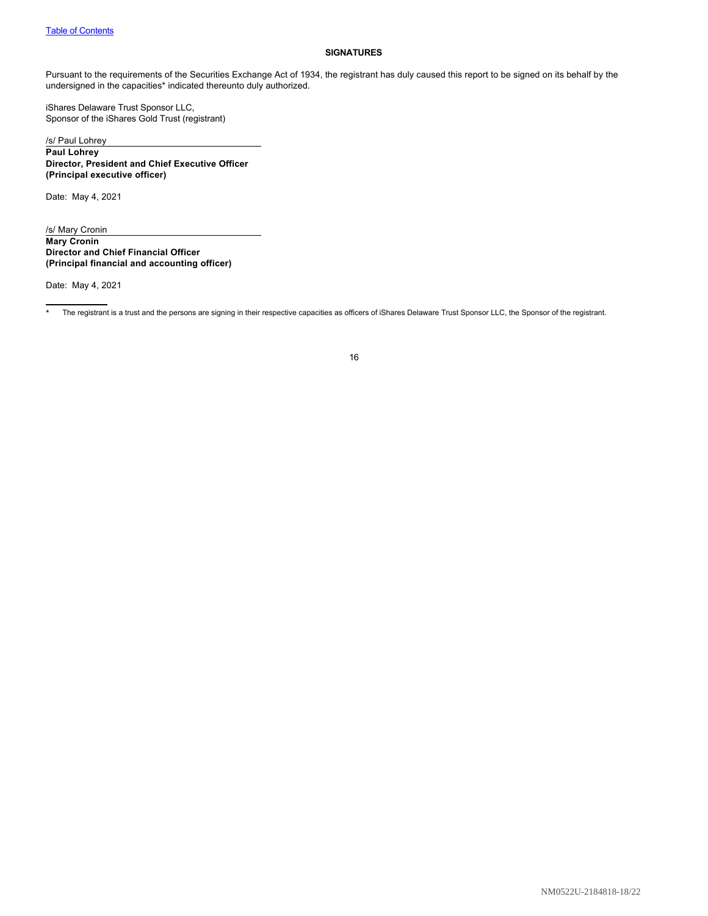### <span id="page-17-0"></span>**SIGNATURES**

Pursuant to the requirements of the Securities Exchange Act of 1934, the registrant has duly caused this report to be signed on its behalf by the undersigned in the capacities\* indicated thereunto duly authorized.

iShares Delaware Trust Sponsor LLC, Sponsor of the iShares Gold Trust (registrant)

/s/ Paul Lohrey **Paul Lohrey Director, President and Chief Executive Officer (Principal executive officer)**

Date: May 4, 2021

/s/ Mary Cronin **Mary Cronin Director and Chief Financial Officer (Principal financial and accounting officer)**

Date: May 4, 2021

The registrant is a trust and the persons are signing in their respective capacities as officers of iShares Delaware Trust Sponsor LLC, the Sponsor of the registrant.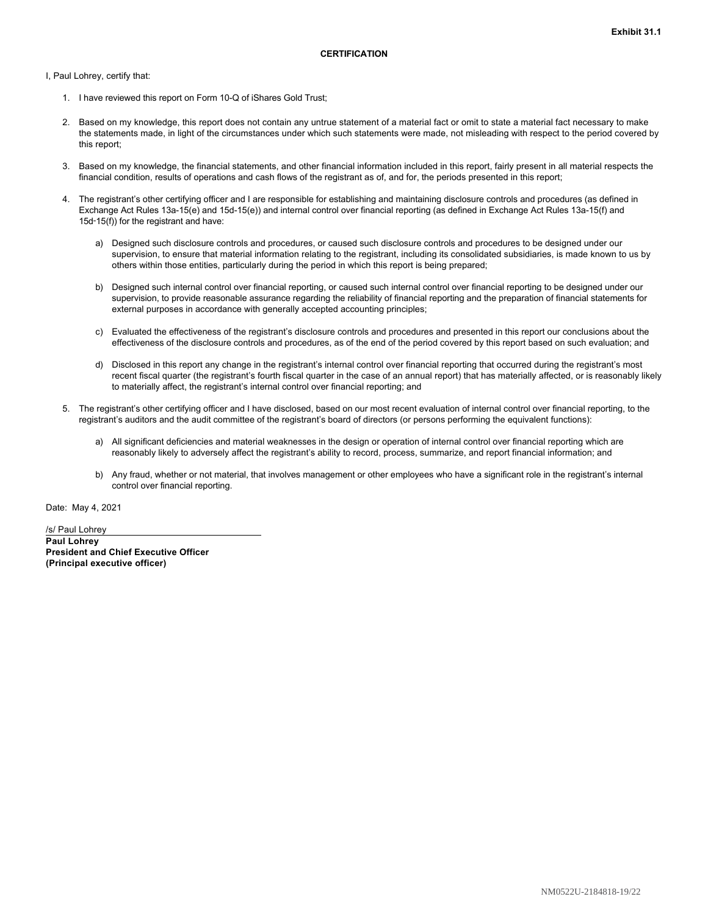<span id="page-18-0"></span>I, Paul Lohrey, certify that:

- 1. I have reviewed this report on Form 10-Q of iShares Gold Trust;
- 2. Based on my knowledge, this report does not contain any untrue statement of a material fact or omit to state a material fact necessary to make the statements made, in light of the circumstances under which such statements were made, not misleading with respect to the period covered by this report;
- 3. Based on my knowledge, the financial statements, and other financial information included in this report, fairly present in all material respects the financial condition, results of operations and cash flows of the registrant as of, and for, the periods presented in this report;
- 4. The registrant's other certifying officer and I are responsible for establishing and maintaining disclosure controls and procedures (as defined in Exchange Act Rules 13a-15(e) and 15d-15(e)) and internal control over financial reporting (as defined in Exchange Act Rules 13a-15(f) and 15d‑15(f)) for the registrant and have:
	- a) Designed such disclosure controls and procedures, or caused such disclosure controls and procedures to be designed under our supervision, to ensure that material information relating to the registrant, including its consolidated subsidiaries, is made known to us by others within those entities, particularly during the period in which this report is being prepared;
	- b) Designed such internal control over financial reporting, or caused such internal control over financial reporting to be designed under our supervision, to provide reasonable assurance regarding the reliability of financial reporting and the preparation of financial statements for external purposes in accordance with generally accepted accounting principles;
	- c) Evaluated the effectiveness of the registrant's disclosure controls and procedures and presented in this report our conclusions about the effectiveness of the disclosure controls and procedures, as of the end of the period covered by this report based on such evaluation; and
	- d) Disclosed in this report any change in the registrant's internal control over financial reporting that occurred during the registrant's most recent fiscal quarter (the registrant's fourth fiscal quarter in the case of an annual report) that has materially affected, or is reasonably likely to materially affect, the registrant's internal control over financial reporting; and
- 5. The registrant's other certifying officer and I have disclosed, based on our most recent evaluation of internal control over financial reporting, to the registrant's auditors and the audit committee of the registrant's board of directors (or persons performing the equivalent functions):
	- a) All significant deficiencies and material weaknesses in the design or operation of internal control over financial reporting which are reasonably likely to adversely affect the registrant's ability to record, process, summarize, and report financial information; and
	- b) Any fraud, whether or not material, that involves management or other employees who have a significant role in the registrant's internal control over financial reporting.

Date: May 4, 2021

/s/ Paul Lohrey **Paul Lohrey President and Chief Executive Officer (Principal executive officer)**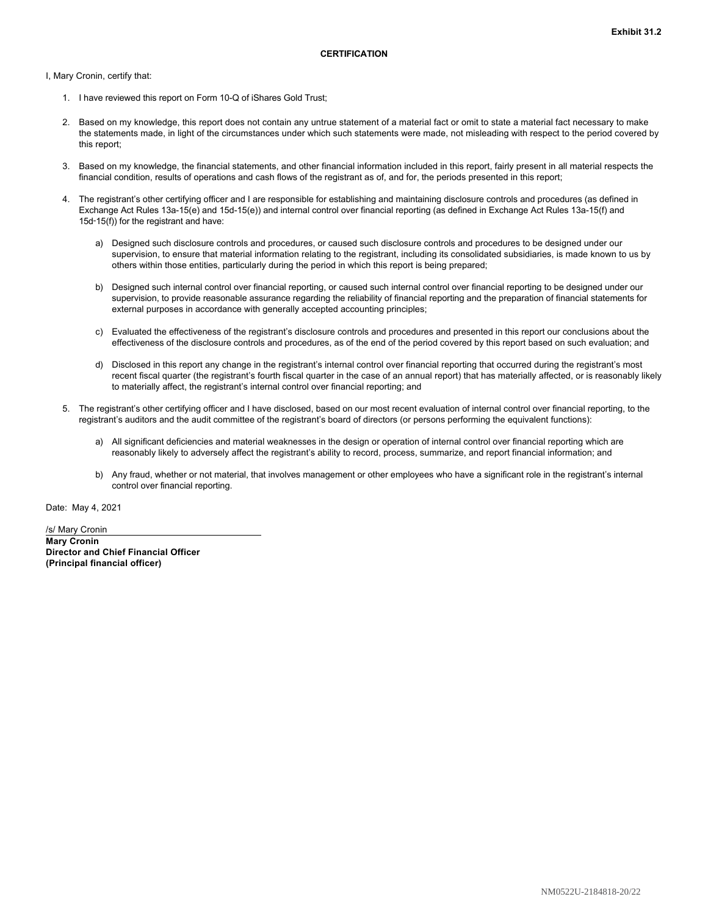<span id="page-19-0"></span>I, Mary Cronin, certify that:

- 1. I have reviewed this report on Form 10-Q of iShares Gold Trust;
- 2. Based on my knowledge, this report does not contain any untrue statement of a material fact or omit to state a material fact necessary to make the statements made, in light of the circumstances under which such statements were made, not misleading with respect to the period covered by this report;
- 3. Based on my knowledge, the financial statements, and other financial information included in this report, fairly present in all material respects the financial condition, results of operations and cash flows of the registrant as of, and for, the periods presented in this report;
- 4. The registrant's other certifying officer and I are responsible for establishing and maintaining disclosure controls and procedures (as defined in Exchange Act Rules 13a-15(e) and 15d-15(e)) and internal control over financial reporting (as defined in Exchange Act Rules 13a-15(f) and 15d‑15(f)) for the registrant and have:
	- a) Designed such disclosure controls and procedures, or caused such disclosure controls and procedures to be designed under our supervision, to ensure that material information relating to the registrant, including its consolidated subsidiaries, is made known to us by others within those entities, particularly during the period in which this report is being prepared;
	- b) Designed such internal control over financial reporting, or caused such internal control over financial reporting to be designed under our supervision, to provide reasonable assurance regarding the reliability of financial reporting and the preparation of financial statements for external purposes in accordance with generally accepted accounting principles;
	- c) Evaluated the effectiveness of the registrant's disclosure controls and procedures and presented in this report our conclusions about the effectiveness of the disclosure controls and procedures, as of the end of the period covered by this report based on such evaluation; and
	- d) Disclosed in this report any change in the registrant's internal control over financial reporting that occurred during the registrant's most recent fiscal quarter (the registrant's fourth fiscal quarter in the case of an annual report) that has materially affected, or is reasonably likely to materially affect, the registrant's internal control over financial reporting; and
- 5. The registrant's other certifying officer and I have disclosed, based on our most recent evaluation of internal control over financial reporting, to the registrant's auditors and the audit committee of the registrant's board of directors (or persons performing the equivalent functions):
	- a) All significant deficiencies and material weaknesses in the design or operation of internal control over financial reporting which are reasonably likely to adversely affect the registrant's ability to record, process, summarize, and report financial information; and
	- b) Any fraud, whether or not material, that involves management or other employees who have a significant role in the registrant's internal control over financial reporting.

Date: May 4, 2021

/s/ Mary Cronin **Mary Cronin Director and Chief Financial Officer (Principal financial officer)**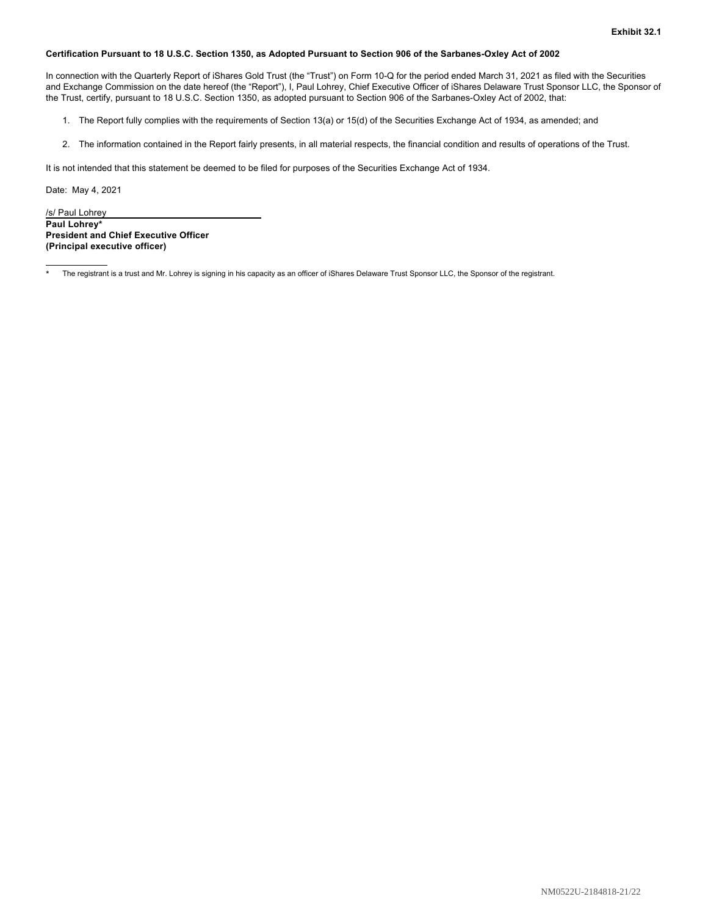### <span id="page-20-0"></span>**Certification Pursuant to 18 U.S.C. Section 1350, as Adopted Pursuant to Section 906 of the Sarbanes-Oxley Act of 2002**

In connection with the Quarterly Report of iShares Gold Trust (the "Trust") on Form 10-Q for the period ended March 31, 2021 as filed with the Securities and Exchange Commission on the date hereof (the "Report"), I, Paul Lohrey, Chief Executive Officer of iShares Delaware Trust Sponsor LLC, the Sponsor of the Trust, certify, pursuant to 18 U.S.C. Section 1350, as adopted pursuant to Section 906 of the Sarbanes-Oxley Act of 2002, that:

- 1. The Report fully complies with the requirements of Section 13(a) or 15(d) of the Securities Exchange Act of 1934, as amended; and
- 2. The information contained in the Report fairly presents, in all material respects, the financial condition and results of operations of the Trust.

It is not intended that this statement be deemed to be filed for purposes of the Securities Exchange Act of 1934.

Date: May 4, 2021

/s/ Paul Lohrey **Paul Lohrey\* President and Chief Executive Officer (Principal executive officer)**

The registrant is a trust and Mr. Lohrey is signing in his capacity as an officer of iShares Delaware Trust Sponsor LLC, the Sponsor of the registrant.